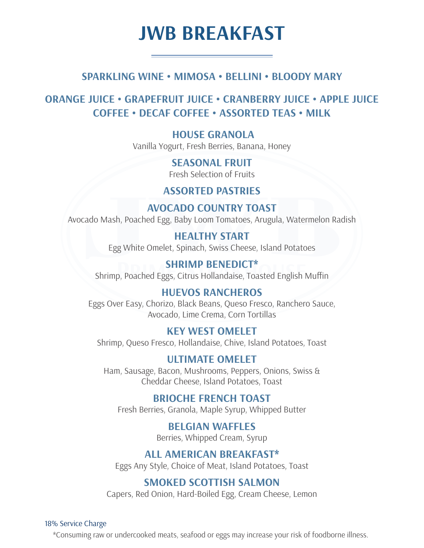## **JWB BREAKFAST**

## **SPARKLING WINE • MIMOSA • BELLINI • BLOODY MARY**

## **ORANGE JUICE • GRAPEFRUIT JUICE • CRANBERRY JUICE • APPLE JUICE COFFEE • DECAF COFFEE • ASSORTED TEAS • MILK**

 **HOUSE GRANOLA** Vanilla Yogurt, Fresh Berries, Banana, Honey

> **SEASONAL FRUIT** Fresh Selection of Fruits

## **ASSORTED PASTRIES**

**AVOCADO COUNTRY TOAST** Avocado Mash, Poached Egg, Baby Loom Tomatoes, Arugula, Watermelon Radish

> **HEALTHY START** Egg White Omelet, Spinach, Swiss Cheese, Island Potatoes

**SHRIMP BENEDICT\*** Shrimp, Poached Eggs, Citrus Hollandaise, Toasted English Muffin

## **HUEVOS RANCHEROS**

Eggs Over Easy, Chorizo, Black Beans, Queso Fresco, Ranchero Sauce, Avocado, Lime Crema, Corn Tortillas

### **KEY WEST OMELET**

Shrimp, Queso Fresco, Hollandaise, Chive, Island Potatoes, Toast

**ULTIMATE OMELET** Ham, Sausage, Bacon, Mushrooms, Peppers, Onions, Swiss & Cheddar Cheese, Island Potatoes, Toast

## **BRIOCHE FRENCH TOAST**

Fresh Berries, Granola, Maple Syrup, Whipped Butter

**BELGIAN WAFFLES** Berries, Whipped Cream, Syrup

### **ALL AMERICAN BREAKFAST\***

Eggs Any Style, Choice of Meat, Island Potatoes, Toast

## **SMOKED SCOTTISH SALMON**

Capers, Red Onion, Hard-Boiled Egg, Cream Cheese, Lemon

#### 18% Service Charge

\*Consuming raw or undercooked meats, seafood or eggs may increase your risk of foodborne illness.